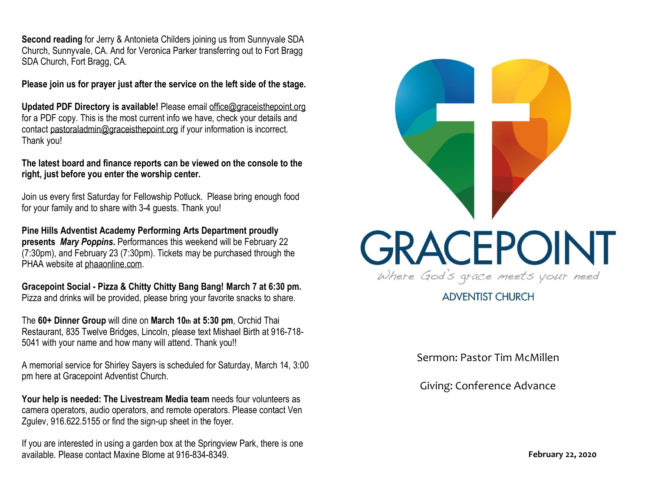**Second reading** for Jerry & Antonieta Childers joining us from Sunnyvale SDA Church, Sunnyvale, CA. And for Veronica Parker transferring out to Fort Bragg SDA Church, Fort Bragg, CA.

**Please join us for prayer just after the service on the left side of the stage.**

**Updated PDF Directory is available!** Please email [office@graceisthepoint.org](mailto:office@graceisthepoint.org) for a PDF copy. This is the most current info we have, check your details and contact [pastoraladmin@graceisthepoint.org](mailto:pastoraladmin@graceisthepoint.org) if your information is incorrect. Thank you!

**The latest board and finance reports can be viewed on the console to the right, just before you enter the worship center.**

Join us every first Saturday for Fellowship Potluck. Please bring enough food for your family and to share with 3-4 guests. Thank you!

**Pine Hills Adventist Academy Performing Arts Department proudly presents** *Mary Poppins***.** Performances this weekend will be February 22 (7:30pm), and February 23 (7:30pm). Tickets may be purchased through the PHAA website at [phaaonline.com.](http://www.phaaonline.com/)

**Gracepoint Social - Pizza & Chitty Chitty Bang Bang! March 7 at 6:30 pm.**  Pizza and drinks will be provided, please bring your favorite snacks to share.

The **60+ Dinner Group** will dine on **March 10th at 5:30 pm**, Orchid Thai Restaurant, 835 Twelve Bridges, Lincoln, please text Mishael Birth at 916-718- 5041 with your name and how many will attend. Thank you!!

A memorial service for Shirley Sayers is scheduled for Saturday, March 14, 3:00 pm here at Gracepoint Adventist Church.

**Your help is needed: The Livestream Media team** needs four volunteers as camera operators, audio operators, and remote operators. Please contact Ven Zgulev, 916.622.5155 or find the sign-up sheet in the foyer.

If you are interested in using a garden box at the Springview Park, there is one available. Please contact Maxine Blome at 916-834-8349. **February 22, 2020**



# **ADVENTIST CHURCH**

Sermon: Pastor Tim McMillen

Giving: Conference Advance